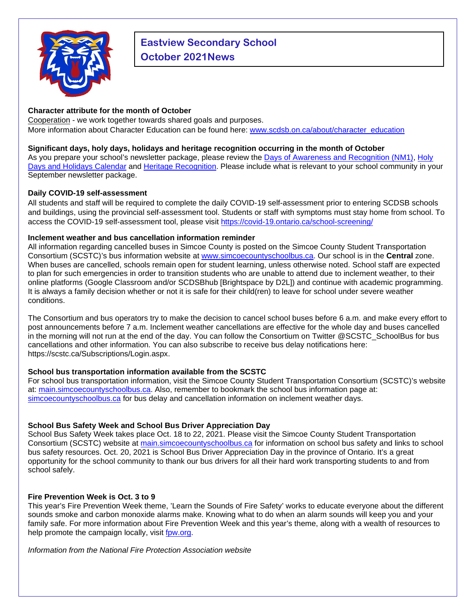

# **Eastview Secondary School October 2021News**

## **Character attribute for the month of October**

Cooperation - we work together towards shared goals and purposes. More information about Character Education can be found here: [www.scdsb.on.ca/about/character\\_education](http://www.scdsb.on.ca/about/character_education)

### **Significant days, holy days, holidays and heritage recognition occurring in the month of October**

As you prepare your school's newsletter package, please review the Days of Awareness and Recognition (NM1), [Holy](https://www.scdsb.on.ca/UserFiles/Servers/Server_210898/File/About/Equity%20and%20Inclusion/Holy%20Days%20Calendar/Sept21-Aug22-HolyDaysandHolidays-Calendar.pdf)  [Days and Holidays Calendar](https://www.scdsb.on.ca/UserFiles/Servers/Server_210898/File/About/Equity%20and%20Inclusion/Holy%20Days%20Calendar/Sept21-Aug22-HolyDaysandHolidays-Calendar.pdf) and [Heritage Recognition.](https://www.scdsb.on.ca/about/equity_and_inclusion/heritage_recognition) Please include what is relevant to your school community in your September newsletter package.

### **Daily COVID-19 self-assessment**

All students and staff will be required to complete the daily COVID-19 self-assessment prior to entering SCDSB schools and buildings, using the provincial self-assessment tool. Students or staff with symptoms must stay home from school. To access the COVID-19 self-assessment tool, please visit<https://covid-19.ontario.ca/school-screening/>

### **Inclement weather and bus cancellation information reminder**

All information regarding cancelled buses in Simcoe County is posted on the Simcoe County Student Transportation Consortium (SCSTC)'s bus information website at [www.simcoecountyschoolbus.ca.](file://adminvs01/diroff/Communications/Communications%20Department/School%20Newsletter%20Items/2020-2021/October/www.simcoecountyschoolbus.ca) Our school is in the **Central** zone. When buses are cancelled, schools remain open for student learning, unless otherwise noted. School staff are expected to plan for such emergencies in order to transition students who are unable to attend due to inclement weather, to their online platforms (Google Classroom and/or SCDSBhub [Brightspace by D2L]) and continue with academic programming. It is always a family decision whether or not it is safe for their child(ren) to leave for school under severe weather conditions.

The Consortium and bus operators try to make the decision to cancel school buses before 6 a.m. and make every effort to post announcements before 7 a.m. Inclement weather cancellations are effective for the whole day and buses cancelled in the morning will not run at the end of the day. You can follow the Consortium on Twitter [@SCSTC\\_SchoolBus](https://twitter.com/SCSTC_SchoolBus?ref_src=twsrc%5Egoogle%7Ctwcamp%5Eserp%7Ctwgr%5Eauthor) for bus cancellations and other information. You can also subscribe to receive bus delay notifications here: [https://scstc.ca/Subscriptions/Login.aspx.](https://scstc.ca/Subscriptions/Login.aspx)

## **School bus transportation information available from the SCSTC**

For school bus transportation information, visit the Simcoe County Student Transportation Consortium (SCSTC)'s website at: [main.simcoecountyschoolbus.ca.](https://main.simcoecountyschoolbus.ca/) Also, remember to bookmark the school bus information page at: [simcoecountyschoolbus.ca](https://simcoecountyschoolbus.ca/) for bus delay and cancellation information on inclement weather days.

## **School Bus Safety Week and School Bus Driver Appreciation Day**

School Bus Safety Week takes place Oct. 18 to 22, 2021. Please visit the Simcoe County Student Transportation Consortium (SCSTC) website at [main.simcoecountyschoolbus.ca](http://main.simcoecountyschoolbus.ca/) for information on school bus safety and links to school bus safety resources. Oct. 20, 2021 is School Bus Driver Appreciation Day in the province of Ontario. It's a great opportunity for the school community to thank our bus drivers for all their hard work transporting students to and from school safely.

## **Fire Prevention Week is Oct. 3 to 9**

This year's Fire Prevention Week theme, 'Learn the Sounds of Fire Safety' works to educate everyone about the different sounds smoke and carbon monoxide alarms make. Knowing what to do when an alarm sounds will keep you and your family safe. For more information about Fire Prevention Week and this year's theme, along with a wealth of resources to help promote the campaign locally, visit [fpw.org.](http://www.nfpa.org/fpw)

*Information from the National Fire Protection Association website*